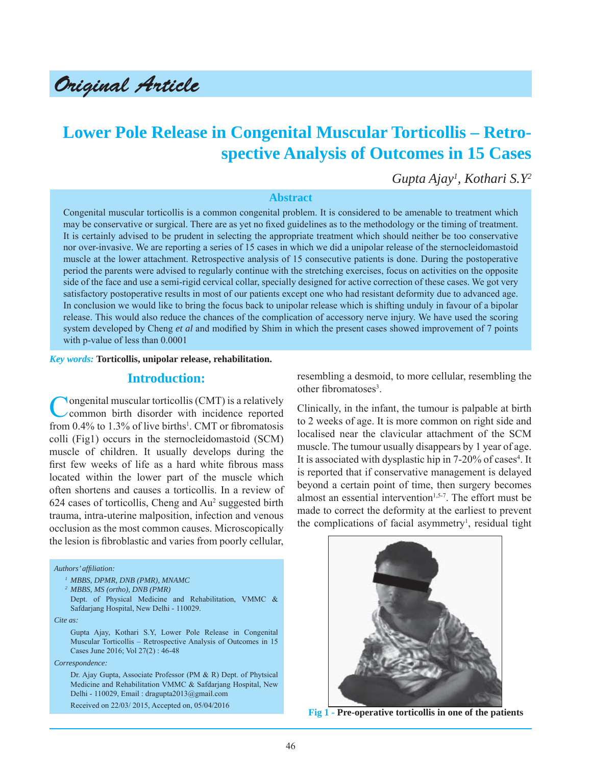Original Article

# **Lower Pole Release in Congenital Muscular Torticollis – Retrospective Analysis of Outcomes in 15 Cases**

*Gupta Ajay1 , Kothari S.Y2*

#### **Abstract**

Congenital muscular torticollis is a common congenital problem. It is considered to be amenable to treatment which may be conservative or surgical. There are as yet no fixed guidelines as to the methodology or the timing of treatment. It is certainly advised to be prudent in selecting the appropriate treatment which should neither be too conservative nor over-invasive. We are reporting a series of 15 cases in which we did a unipolar release of the sternocleidomastoid muscle at the lower attachment. Retrospective analysis of 15 consecutive patients is done. During the postoperative period the parents were advised to regularly continue with the stretching exercises, focus on activities on the opposite side of the face and use a semi-rigid cervical collar, specially designed for active correction of these cases. We got very satisfactory postoperative results in most of our patients except one who had resistant deformity due to advanced age. In conclusion we would like to bring the focus back to unipolar release which is shifting unduly in favour of a bipolar release. This would also reduce the chances of the complication of accessory nerve injury. We have used the scoring system developed by Cheng *et al* and modified by Shim in which the present cases showed improvement of 7 points with p-value of less than 0.0001

*Key words:* **Torticollis, unipolar release, rehabilitation.**

#### **Introduction:**

Congenital muscular torticollis (CMT) is a relatively common birth disorder with incidence reported from  $0.4\%$  to  $1.3\%$  of live births<sup>1</sup>. CMT or fibromatosis colli (Fig1) occurs in the sternocleidomastoid (SCM) muscle of children. It usually develops during the first few weeks of life as a hard white fibrous mass located within the lower part of the muscle which often shortens and causes a torticollis. In a review of 624 cases of torticollis, Cheng and Au<sup>2</sup> suggested birth trauma, intra-uterine malposition, infection and venous occlusion as the most common causes. Microscopically the lesion is fibroblastic and varies from poorly cellular,

#### *Authors' affi liation:*

- *1 MBBS, DPMR, DNB (PMR), MNAMC*
- *2 MBBS, MS (ortho), DNB (PMR)*
- Dept. of Physical Medicine and Rehabilitation, VMMC & Safdarjang Hospital, New Delhi - 110029.
- *Cite as:*

 Gupta Ajay, Kothari S.Y, Lower Pole Release in Congenital Muscular Torticollis – Retrospective Analysis of Outcomes in 15 Cases June 2016; Vol 27(2) : 46-48

*Correspondence:*

 Dr. Ajay Gupta, Associate Professor (PM & R) Dept. of Phytsical Medicine and Rehabilitation VMMC & Safdarjang Hospital, New Delhi - 110029, Email : dragupta2013@gmail.com Received on 22/03/ 2015, Accepted on, 05/04/2016

resembling a desmoid, to more cellular, resembling the other fibromatoses<sup>3</sup>.

Clinically, in the infant, the tumour is palpable at birth to 2 weeks of age. It is more common on right side and localised near the clavicular attachment of the SCM muscle. The tumour usually disappears by 1 year of age. It is associated with dysplastic hip in 7-20% of cases<sup>4</sup>. It is reported that if conservative management is delayed beyond a certain point of time, then surgery becomes almost an essential intervention<sup>1,5-7</sup>. The effort must be made to correct the deformity at the earliest to prevent the complications of facial asymmetry<sup>1</sup>, residual tight



**Fig 1 - Pre-operative torticollis in one of the patients**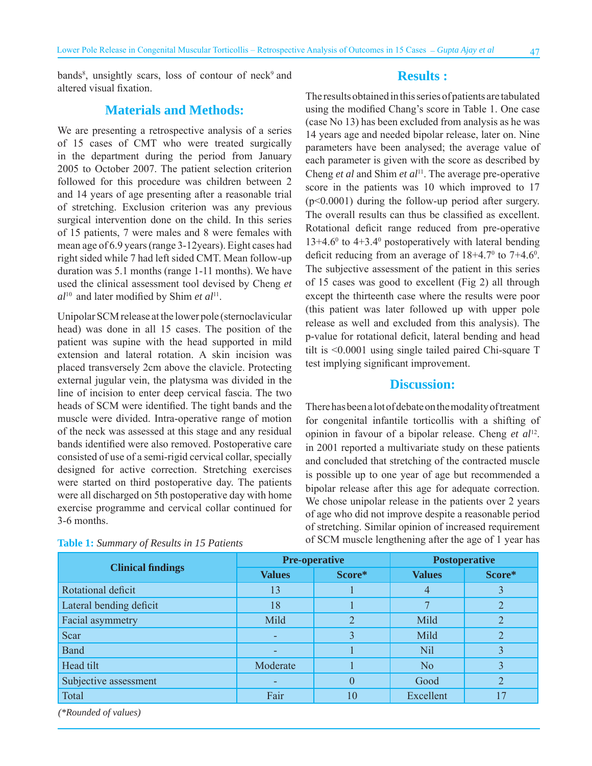bands<sup>8</sup>, unsightly scars, loss of contour of neck<sup>9</sup> and altered visual fixation

#### **Materials and Methods:**

We are presenting a retrospective analysis of a series of 15 cases of CMT who were treated surgically in the department during the period from January 2005 to October 2007. The patient selection criterion followed for this procedure was children between 2 and 14 years of age presenting after a reasonable trial of stretching. Exclusion criterion was any previous surgical intervention done on the child. In this series of 15 patients, 7 were males and 8 were females with mean age of 6.9 years (range 3-12years). Eight cases had right sided while 7 had left sided CMT. Mean follow-up duration was 5.1 months (range 1-11 months). We have used the clinical assessment tool devised by Cheng *et al*<sup>10</sup> and later modified by Shim *et al*<sup>11</sup>.

Unipolar SCM release at the lower pole (sternoclavicular head) was done in all 15 cases. The position of the patient was supine with the head supported in mild extension and lateral rotation. A skin incision was placed transversely 2cm above the clavicle. Protecting external jugular vein, the platysma was divided in the line of incision to enter deep cervical fascia. The two heads of SCM were identified. The tight bands and the muscle were divided. Intra-operative range of motion of the neck was assessed at this stage and any residual bands identified were also removed. Postoperative care consisted of use of a semi-rigid cervical collar, specially designed for active correction. Stretching exercises were started on third postoperative day. The patients were all discharged on 5th postoperative day with home exercise programme and cervical collar continued for 3-6 months.

#### The results obtained in this series of patients are tabulated using the modified Chang's score in Table 1. One case (case No 13) has been excluded from analysis as he was 14 years age and needed bipolar release, later on. Nine parameters have been analysed; the average value of each parameter is given with the score as described by Cheng *et al* and Shim *et al*11. The average pre-operative score in the patients was 10 which improved to 17 (p<0.0001) during the follow-up period after surgery. The overall results can thus be classified as excellent. Rotational deficit range reduced from pre-operative  $13+4.6^{\circ}$  to  $4+3.4^{\circ}$  postoperatively with lateral bending deficit reducing from an average of  $18+4.7^{\circ}$  to  $7+4.6^{\circ}$ . The subjective assessment of the patient in this series of 15 cases was good to excellent (Fig 2) all through except the thirteenth case where the results were poor (this patient was later followed up with upper pole release as well and excluded from this analysis). The p-value for rotational deficit, lateral bending and head tilt is <0.0001 using single tailed paired Chi-square T test implying significant improvement.

**Results :**

#### **Discussion:**

There has been a lot of debate on the modality of treatment for congenital infantile torticollis with a shifting of opinion in favour of a bipolar release. Cheng *et al*12. in 2001 reported a multivariate study on these patients and concluded that stretching of the contracted muscle is possible up to one year of age but recommended a bipolar release after this age for adequate correction. We chose unipolar release in the patients over 2 years of age who did not improve despite a reasonable period of stretching. Similar opinion of increased requirement of SCM muscle lengthening after the age of 1 year has **Table 1:** *Summary of Results in 15 Patients*

| <b>Clinical findings</b> | <b>Pre-operative</b> |                | <b>Postoperative</b> |        |
|--------------------------|----------------------|----------------|----------------------|--------|
|                          | <b>Values</b>        | Score*         | <b>Values</b>        | Score* |
| Rotational deficit       | 13                   |                | 4                    |        |
| Lateral bending deficit  | 18                   |                | −                    |        |
| Facial asymmetry         | Mild                 | $\overline{2}$ | Mild                 |        |
| Scar                     | -                    | 3              | Mild                 |        |
| <b>Band</b>              | -                    |                | Nil                  |        |
| Head tilt                | Moderate             |                | N <sub>o</sub>       |        |
| Subjective assessment    |                      |                | Good                 |        |
| Total                    | Fair                 | 10             | Excellent            |        |

*(\*Rounded of values)*